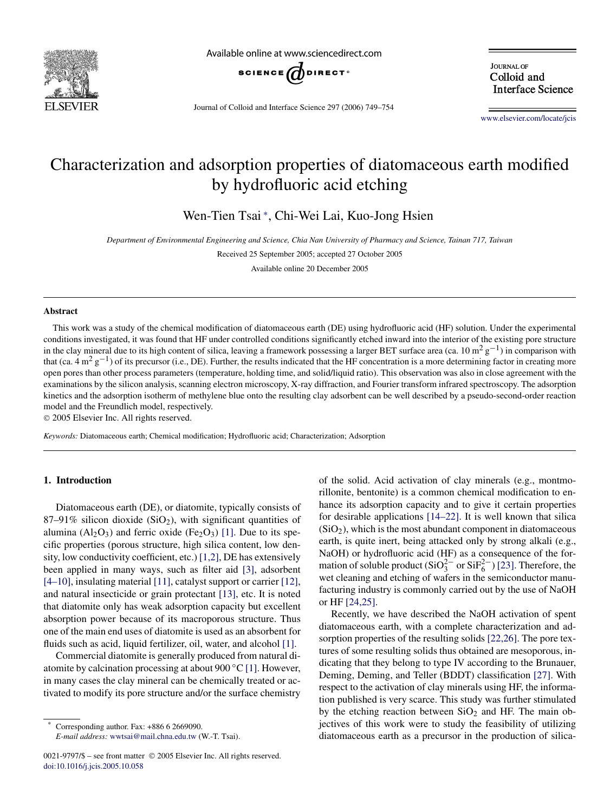

Available online at www.sciencedirect.com



Journal of Colloid and Interface Science 297 (2006) 749–754

**JOURNAL OF** Colloid and **Interface Science** 

[www.elsevier.com/locate/jcis](http://www.elsevier.com/locate/jcis)

# Characterization and adsorption properties of diatomaceous earth modified by hydrofluoric acid etching

Wen-Tien Tsai <sup>∗</sup> , Chi-Wei Lai, Kuo-Jong Hsien

*Department of Environmental Engineering and Science, Chia Nan University of Pharmacy and Science, Tainan 717, Taiwan*

Received 25 September 2005; accepted 27 October 2005

Available online 20 December 2005

## **Abstract**

This work was a study of the chemical modification of diatomaceous earth (DE) using hydrofluoric acid (HF) solution. Under the experimental conditions investigated, it was found that HF under controlled conditions significantly etched inward into the interior of the existing pore structure in the clay mineral due to its high content of silica, leaving a framework possessing a larger BET surface area (ca. 10 m<sup>2</sup> g<sup>-1</sup>) in comparison with that (ca. 4 m<sup>2</sup> g<sup>-1</sup>) of its precursor (i.e., DE). Further, the results indicated that the HF concentration is a more determining factor in creating more open pores than other process parameters (temperature, holding time, and solid/liquid ratio). This observation was also in close agreement with the examinations by the silicon analysis, scanning electron microscopy, X-ray diffraction, and Fourier transform infrared spectroscopy. The adsorption kinetics and the adsorption isotherm of methylene blue onto the resulting clay adsorbent can be well described by a pseudo-second-order reaction model and the Freundlich model, respectively.

© 2005 Elsevier Inc. All rights reserved.

*Keywords:* Diatomaceous earth; Chemical modification; Hydrofluoric acid; Characterization; Adsorption

# **1. Introduction**

Diatomaceous earth (DE), or diatomite, typically consists of 87–91% silicon dioxide  $(SiO<sub>2</sub>)$ , with significant quantities of alumina  $(A<sub>12</sub>O<sub>3</sub>)$  and ferric oxide (Fe<sub>2</sub>O<sub>3</sub>) [\[1\].](#page-5-0) Due to its specific properties (porous structure, high silica content, low density, low conductivity coefficient, etc.) [\[1,2\],](#page-5-0) DE has extensively been applied in many ways, such as filter aid [\[3\],](#page-5-0) adsorbent [\[4–10\],](#page-5-0) insulating material [\[11\],](#page-5-0) catalyst support or carrier [\[12\],](#page-5-0) and natural insecticide or grain protectant [\[13\],](#page-5-0) etc. It is noted that diatomite only has weak adsorption capacity but excellent absorption power because of its macroporous structure. Thus one of the main end uses of diatomite is used as an absorbent for fluids such as acid, liquid fertilizer, oil, water, and alcohol [\[1\].](#page-5-0)

Commercial diatomite is generally produced from natural diatomite by calcination processing at about  $900 °C$  [\[1\].](#page-5-0) However, in many cases the clay mineral can be chemically treated or activated to modify its pore structure and/or the surface chemistry

Corresponding author. Fax: +886 6 2669090.

*E-mail address:* [wwtsai@mail.chna.edu.tw](mailto:wwtsai@mail.chna.edu.tw) (W.-T. Tsai).

of the solid. Acid activation of clay minerals (e.g., montmorillonite, bentonite) is a common chemical modification to enhance its adsorption capacity and to give it certain properties for desirable applications [\[14–22\].](#page-5-0) It is well known that silica  $(SiO<sub>2</sub>)$ , which is the most abundant component in diatomaceous earth, is quite inert, being attacked only by strong alkali (e.g., NaOH) or hydrofluoric acid (HF) as a consequence of the for-mation of soluble product (SiO<sup>2</sup><sup>-</sup> or SiF<sup>2</sup><sup>-</sup>) [\[23\].](#page-5-0) Therefore, the wet cleaning and etching of wafers in the semiconductor manufacturing industry is commonly carried out by the use of NaOH or HF [\[24,25\].](#page-5-0)

Recently, we have described the NaOH activation of spent diatomaceous earth, with a complete characterization and adsorption properties of the resulting solids [\[22,26\].](#page-5-0) The pore textures of some resulting solids thus obtained are mesoporous, indicating that they belong to type IV according to the Brunauer, Deming, Deming, and Teller (BDDT) classification [\[27\].](#page-5-0) With respect to the activation of clay minerals using HF, the information published is very scarce. This study was further stimulated by the etching reaction between  $SiO<sub>2</sub>$  and HF. The main objectives of this work were to study the feasibility of utilizing diatomaceous earth as a precursor in the production of silica-

<sup>0021-9797/\$ –</sup> see front matter © 2005 Elsevier Inc. All rights reserved. [doi:10.1016/j.jcis.2005.10.058](http://dx.doi.org/10.1016/j.jcis.2005.10.058)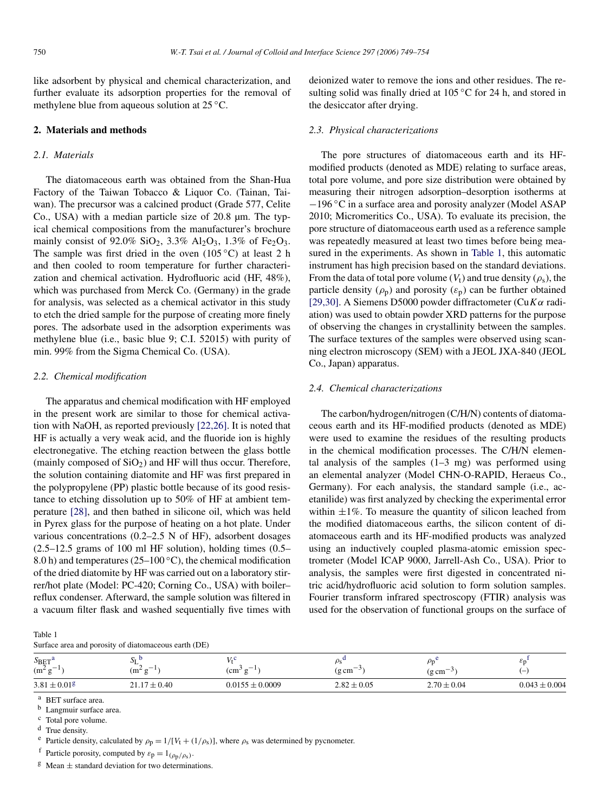<span id="page-1-0"></span>like adsorbent by physical and chemical characterization, and further evaluate its adsorption properties for the removal of methylene blue from aqueous solution at 25 ◦C.

## **2. Materials and methods**

# *2.1. Materials*

The diatomaceous earth was obtained from the Shan-Hua Factory of the Taiwan Tobacco & Liquor Co. (Tainan, Taiwan). The precursor was a calcined product (Grade 577, Celite Co., USA) with a median particle size of 20.8 µm. The typical chemical compositions from the manufacturer's brochure mainly consist of 92.0%  $SiO_2$ , 3.3%  $Al_2O_3$ , 1.3% of Fe<sub>2</sub>O<sub>3</sub>. The sample was first dried in the oven  $(105 °C)$  at least 2 h and then cooled to room temperature for further characterization and chemical activation. Hydrofluoric acid (HF, 48%), which was purchased from Merck Co. (Germany) in the grade for analysis, was selected as a chemical activator in this study to etch the dried sample for the purpose of creating more finely pores. The adsorbate used in the adsorption experiments was methylene blue (i.e., basic blue 9; C.I. 52015) with purity of min. 99% from the Sigma Chemical Co. (USA).

# *2.2. Chemical modification*

The apparatus and chemical modification with HF employed in the present work are similar to those for chemical activation with NaOH, as reported previously [\[22,26\].](#page-5-0) It is noted that HF is actually a very weak acid, and the fluoride ion is highly electronegative. The etching reaction between the glass bottle (mainly composed of  $SiO<sub>2</sub>$ ) and HF will thus occur. Therefore, the solution containing diatomite and HF was first prepared in the polypropylene (PP) plastic bottle because of its good resistance to etching dissolution up to 50% of HF at ambient temperature [\[28\],](#page-5-0) and then bathed in silicone oil, which was held in Pyrex glass for the purpose of heating on a hot plate. Under various concentrations (0.2–2.5 N of HF), adsorbent dosages  $(2.5-12.5)$  grams of 100 ml HF solution), holding times  $(0.5-$ 8.0 h) and temperatures (25–100  $\degree$ C), the chemical modification of the dried diatomite by HF was carried out on a laboratory stirrer/hot plate (Model: PC-420; Corning Co., USA) with boiler– reflux condenser. Afterward, the sample solution was filtered in a vacuum filter flask and washed sequentially five times with

| Table 1                                              |  |
|------------------------------------------------------|--|
| Surface area and porosity of diatomaceous earth (DE) |  |

| $S_{\rm BET}$ <sup>a</sup><br>$(m^2 g^{-1})$ | ມເ<br>$\sim$ 1<br>$(m^2 g)$<br>. .<br>G | $T$ $\bar{T}$ $\bar{t}$<br>$\overline{\phantom{0}}$<br>$\rm (cm^{-1}$<br>d | $\overline{\phantom{0}}$<br>$\rm (g\,cm^{-3}$ | $-$<br>$(g \, cm)$ | čη<br>$\overline{\phantom{0}}$ |
|----------------------------------------------|-----------------------------------------|----------------------------------------------------------------------------|-----------------------------------------------|--------------------|--------------------------------|
| $3.81 \pm 0.01^g$                            | 0.40 ء<br>2117<br><b>--</b>             | $0.0155 \pm 0.0009$                                                        | $2.82 \pm 0.05$                               | $2.70 \pm 0.04$    | $0.043 \pm 0.004$              |

<sup>a</sup> BET surface area.

 $\frac{b}{c}$  Langmuir surface area.<br>c Total pore volume.

<sup>d</sup> True density.

<sup>e</sup> Particle density, calculated by  $\rho_p = 1/[V_t + (1/\rho_s)]$ , where  $\rho_s$  was determined by pycnometer.

<sup>f</sup> Particle porosity, computed by  $\varepsilon_p = 1_{(\rho_p/\rho_s)}$ .

 $\frac{g}{g}$  Mean  $\pm$  standard deviation for two determinations.

deionized water to remove the ions and other residues. The resulting solid was finally dried at 105 ◦C for 24 h, and stored in the desiccator after drying.

#### *2.3. Physical characterizations*

The pore structures of diatomaceous earth and its HFmodified products (denoted as MDE) relating to surface areas, total pore volume, and pore size distribution were obtained by measuring their nitrogen adsorption–desorption isotherms at −196 ◦C in a surface area and porosity analyzer (Model ASAP 2010; Micromeritics Co., USA). To evaluate its precision, the pore structure of diatomaceous earth used as a reference sample was repeatedly measured at least two times before being measured in the experiments. As shown in Table 1, this automatic instrument has high precision based on the standard deviations. From the data of total pore volume  $(V_t)$  and true density  $(\rho_s)$ , the particle density  $(\rho_{\rm p})$  and porosity  $(\varepsilon_{\rm p})$  can be further obtained [\[29,30\].](#page-5-0) A Siemens D5000 powder diffractometer (Cu*Kα* radiation) was used to obtain powder XRD patterns for the purpose of observing the changes in crystallinity between the samples. The surface textures of the samples were observed using scanning electron microscopy (SEM) with a JEOL JXA-840 (JEOL Co., Japan) apparatus.

#### *2.4. Chemical characterizations*

The carbon/hydrogen/nitrogen (C/H/N) contents of diatomaceous earth and its HF-modified products (denoted as MDE) were used to examine the residues of the resulting products in the chemical modification processes. The C/H/N elemental analysis of the samples  $(1-3$  mg) was performed using an elemental analyzer (Model CHN-O-RAPID, Heraeus Co., Germany). For each analysis, the standard sample (i.e., acetanilide) was first analyzed by checking the experimental error within  $\pm 1\%$ . To measure the quantity of silicon leached from the modified diatomaceous earths, the silicon content of diatomaceous earth and its HF-modified products was analyzed using an inductively coupled plasma-atomic emission spectrometer (Model ICAP 9000, Jarrell-Ash Co., USA). Prior to analysis, the samples were first digested in concentrated nitric acid/hydrofluoric acid solution to form solution samples. Fourier transform infrared spectroscopy (FTIR) analysis was used for the observation of functional groups on the surface of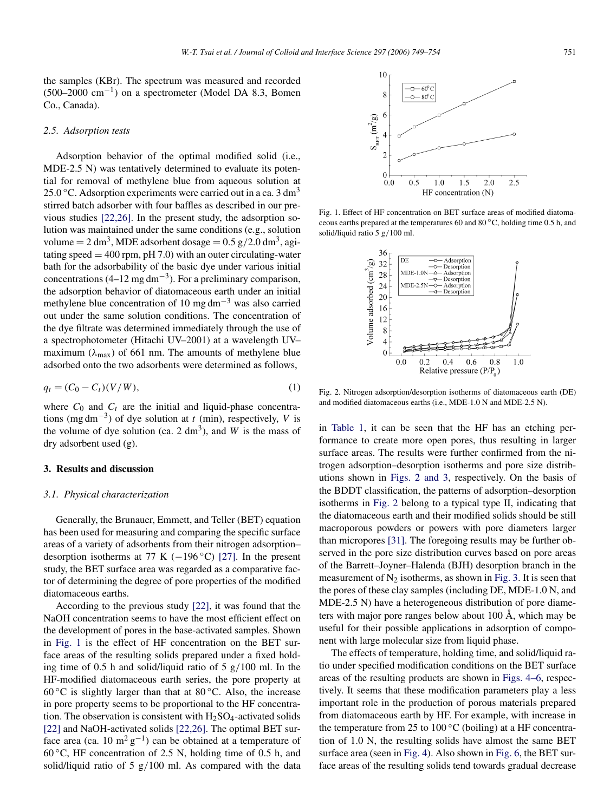## <span id="page-2-0"></span>*2.5. Adsorption tests*

Adsorption behavior of the optimal modified solid (i.e., MDE-2.5 N) was tentatively determined to evaluate its potential for removal of methylene blue from aqueous solution at 25.0 °C. Adsorption experiments were carried out in a ca. 3 dm<sup>3</sup> stirred batch adsorber with four baffles as described in our previous studies [\[22,26\].](#page-5-0) In the present study, the adsorption solution was maintained under the same conditions (e.g., solution volume  $= 2 \text{ dm}^3$ , MDE adsorbent dosage  $= 0.5 \text{ g}/2.0 \text{ dm}^3$ , agitating speed  $=$  400 rpm, pH 7.0) with an outer circulating-water bath for the adsorbability of the basic dye under various initial concentrations  $(4–12 \text{ mg dm}^{-3})$ . For a preliminary comparison, the adsorption behavior of diatomaceous earth under an initial methylene blue concentration of 10 mg dm<sup>-3</sup> was also carried out under the same solution conditions. The concentration of the dye filtrate was determined immediately through the use of a spectrophotometer (Hitachi UV–2001) at a wavelength UV– maximum ( $\lambda_{\text{max}}$ ) of 661 nm. The amounts of methylene blue adsorbed onto the two adsorbents were determined as follows,

$$
q_t = (C_0 - C_t)(V/W),
$$
 (1)

where  $C_0$  and  $C_t$  are the initial and liquid-phase concentrations (mg dm−3) of dye solution at *t* (min), respectively, *V* is the volume of dye solution (ca. 2 dm<sup>3</sup>), and *W* is the mass of dry adsorbent used (g).

## **3. Results and discussion**

#### *3.1. Physical characterization*

Generally, the Brunauer, Emmett, and Teller (BET) equation has been used for measuring and comparing the specific surface areas of a variety of adsorbents from their nitrogen adsorption– desorption isotherms at 77 K ( $-196$  °C) [\[27\].](#page-5-0) In the present study, the BET surface area was regarded as a comparative factor of determining the degree of pore properties of the modified diatomaceous earths.

According to the previous study [\[22\],](#page-5-0) it was found that the NaOH concentration seems to have the most efficient effect on the development of pores in the base-activated samples. Shown in Fig. 1 is the effect of HF concentration on the BET surface areas of the resulting solids prepared under a fixed holding time of 0.5 h and solid/liquid ratio of 5 g*/*100 ml. In the HF-modified diatomaceous earth series, the pore property at 60 °C is slightly larger than that at 80 °C. Also, the increase in pore property seems to be proportional to the HF concentration. The observation is consistent with  $H_2SO_4$ -activated solids [\[22\]](#page-5-0) and NaOH-activated solids [\[22,26\].](#page-5-0) The optimal BET surface area (ca. 10 m<sup>2</sup> g<sup>-1</sup>) can be obtained at a temperature of 60  $\degree$ C, HF concentration of 2.5 N, holding time of 0.5 h, and solid/liquid ratio of 5 g*/*100 ml. As compared with the data



Fig. 1. Effect of HF concentration on BET surface areas of modified diatomaceous earths prepared at the temperatures 60 and 80 ◦C, holding time 0.5 h, and solid/liquid ratio 5 g*/*100 ml.



Fig. 2. Nitrogen adsorption/desorption isotherms of diatomaceous earth (DE) and modified diatomaceous earths (i.e., MDE-1.0 N and MDE-2.5 N).

in [Table 1,](#page-1-0) it can be seen that the HF has an etching performance to create more open pores, thus resulting in larger surface areas. The results were further confirmed from the nitrogen adsorption–desorption isotherms and pore size distributions shown in Figs. 2 and 3, respectively. On the basis of the BDDT classification, the patterns of adsorption–desorption isotherms in Fig. 2 belong to a typical type II, indicating that the diatomaceous earth and their modified solids should be still macroporous powders or powers with pore diameters larger than micropores [\[31\].](#page-5-0) The foregoing results may be further observed in the pore size distribution curves based on pore areas of the Barrett–Joyner–Halenda (BJH) desorption branch in the measurement of  $N_2$  isotherms, as shown in [Fig. 3.](#page-3-0) It is seen that the pores of these clay samples (including DE, MDE-1.0 N, and MDE-2.5 N) have a heterogeneous distribution of pore diameters with major pore ranges below about 100 Å, which may be useful for their possible applications in adsorption of component with large molecular size from liquid phase.

The effects of temperature, holding time, and solid/liquid ratio under specified modification conditions on the BET surface areas of the resulting products are shown in [Figs. 4–6,](#page-3-0) respectively. It seems that these modification parameters play a less important role in the production of porous materials prepared from diatomaceous earth by HF. For example, with increase in the temperature from 25 to 100 $\degree$ C (boiling) at a HF concentration of 1.0 N, the resulting solids have almost the same BET surface area (seen in [Fig. 4\)](#page-3-0). Also shown in [Fig. 6,](#page-3-0) the BET surface areas of the resulting solids tend towards gradual decrease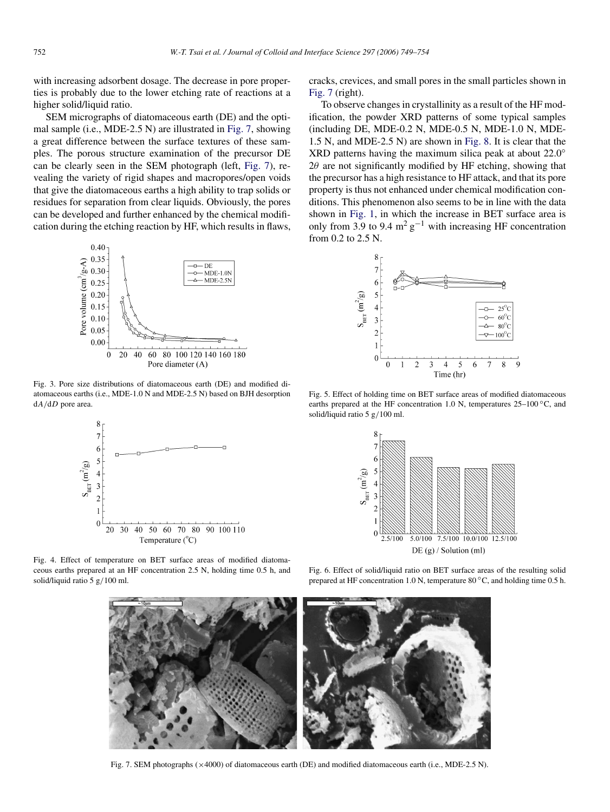<span id="page-3-0"></span>with increasing adsorbent dosage. The decrease in pore properties is probably due to the lower etching rate of reactions at a higher solid/liquid ratio.

SEM micrographs of diatomaceous earth (DE) and the optimal sample (i.e., MDE-2.5 N) are illustrated in Fig. 7, showing a great difference between the surface textures of these samples. The porous structure examination of the precursor DE can be clearly seen in the SEM photograph (left, Fig. 7), revealing the variety of rigid shapes and macropores/open voids that give the diatomaceous earths a high ability to trap solids or residues for separation from clear liquids. Obviously, the pores can be developed and further enhanced by the chemical modification during the etching reaction by HF, which results in flaws,



Fig. 3. Pore size distributions of diatomaceous earth (DE) and modified diatomaceous earths (i.e., MDE-1.0 N and MDE-2.5 N) based on BJH desorption d*A/*d*D* pore area.



cracks, crevices, and small pores in the small particles shown in Fig. 7 (right).

To observe changes in crystallinity as a result of the HF modification, the powder XRD patterns of some typical samples (including DE, MDE-0.2 N, MDE-0.5 N, MDE-1.0 N, MDE-1.5 N, and MDE-2.5 N) are shown in [Fig. 8.](#page-4-0) It is clear that the XRD patterns having the maximum silica peak at about 22.0<sup>°</sup>  $2\theta$  are not significantly modified by HF etching, showing that the precursor has a high resistance to HF attack, and that its pore property is thus not enhanced under chemical modification conditions. This phenomenon also seems to be in line with the data shown in [Fig. 1,](#page-2-0) in which the increase in BET surface area is only from 3.9 to 9.4  $m^2 g^{-1}$  with increasing HF concentration from 0.2 to 2.5 N.



Fig. 5. Effect of holding time on BET surface areas of modified diatomaceous earths prepared at the HF concentration 1.0 N, temperatures 25–100 ℃, and solid/liquid ratio 5 g*/*100 ml.



Fig. 4. Effect of temperature on BET surface areas of modified diatomaceous earths prepared at an HF concentration 2.5 N, holding time 0.5 h, and solid/liquid ratio 5 g*/*100 ml.

Fig. 6. Effect of solid/liquid ratio on BET surface areas of the resulting solid prepared at HF concentration 1.0 N, temperature 80 °C, and holding time 0.5 h.



Fig. 7. SEM photographs ( $\times$ 4000) of diatomaceous earth (DE) and modified diatomaceous earth (i.e., MDE-2.5 N).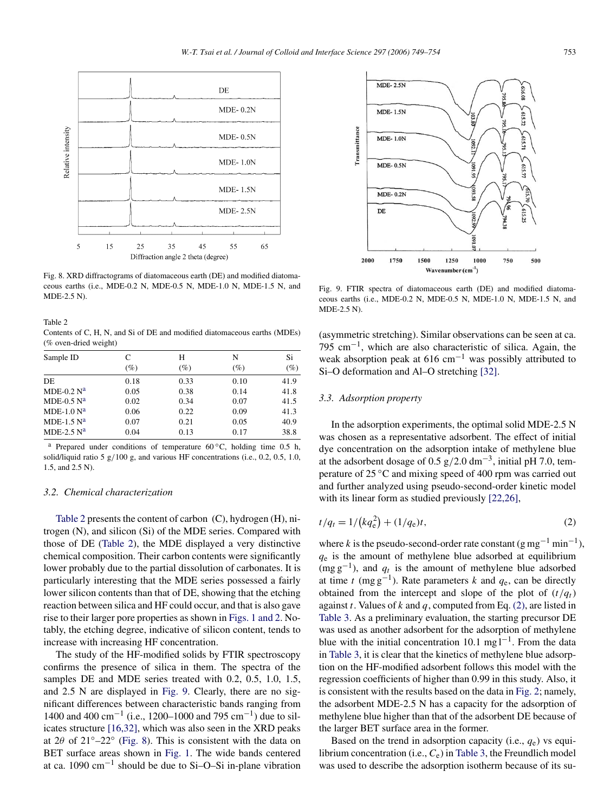<span id="page-4-0"></span>

Fig. 8. XRD diffractograms of diatomaceous earth (DE) and modified diatomaceous earths (i.e., MDE-0.2 N, MDE-0.5 N, MDE-1.0 N, MDE-1.5 N, and MDE-2.5 N).

Table 2 Contents of C, H, N, and Si of DE and modified diatomaceous earths (MDEs) (% oven-dried weight)

| Sample ID     | C      | Н      | N      | Si     |
|---------------|--------|--------|--------|--------|
|               | $(\%)$ | $(\%)$ | $(\%)$ | $(\%)$ |
| DE            | 0.18   | 0.33   | 0.10   | 41.9   |
| MDE-0.2 $N^a$ | 0.05   | 0.38   | 0.14   | 41.8   |
| MDE-0.5 $N^a$ | 0.02   | 0.34   | 0.07   | 41.5   |
| MDE-1.0 $N^a$ | 0.06   | 0.22   | 0.09   | 41.3   |
| MDE-1.5 $Na$  | 0.07   | 0.21   | 0.05   | 40.9   |
| MDE-2.5 $Na$  | 0.04   | 0.13   | 0.17   | 38.8   |

<sup>a</sup> Prepared under conditions of temperature  $60^{\circ}$ C, holding time 0.5 h, solid/liquid ratio 5 g*/*100 g, and various HF concentrations (i.e., 0.2, 0.5, 1.0, 1.5, and 2.5 N).

#### *3.2. Chemical characterization*

Table 2 presents the content of carbon (C), hydrogen (H), nitrogen (N), and silicon (Si) of the MDE series. Compared with those of DE (Table 2), the MDE displayed a very distinctive chemical composition. Their carbon contents were significantly lower probably due to the partial dissolution of carbonates. It is particularly interesting that the MDE series possessed a fairly lower silicon contents than that of DE, showing that the etching reaction between silica and HF could occur, and that is also gave rise to their larger pore properties as shown in [Figs. 1 and 2.](#page-2-0) Notably, the etching degree, indicative of silicon content, tends to increase with increasing HF concentration.

The study of the HF-modified solids by FTIR spectroscopy confirms the presence of silica in them. The spectra of the samples DE and MDE series treated with 0.2, 0.5, 1.0, 1.5, and 2.5 N are displayed in Fig. 9. Clearly, there are no significant differences between characteristic bands ranging from 1400 and 400 cm<sup>-1</sup> (i.e., 1200–1000 and 795 cm<sup>-1</sup>) due to silicates structure [\[16,32\],](#page-5-0) which was also seen in the XRD peaks at  $2\theta$  of  $21°-22°$  (Fig. 8). This is consistent with the data on BET surface areas shown in [Fig. 1.](#page-2-0) The wide bands centered at ca. 1090 cm−<sup>1</sup> should be due to Si–O–Si in-plane vibration



Fig. 9. FTIR spectra of diatomaceous earth (DE) and modified diatomaceous earths (i.e., MDE-0.2 N, MDE-0.5 N, MDE-1.0 N, MDE-1.5 N, and MDE-2.5 N).

(asymmetric stretching). Similar observations can be seen at ca. 795 cm−1, which are also characteristic of silica. Again, the weak absorption peak at 616 cm<sup>-1</sup> was possibly attributed to Si–O deformation and Al–O stretching [\[32\].](#page-5-0)

# *3.3. Adsorption property*

In the adsorption experiments, the optimal solid MDE-2.5 N was chosen as a representative adsorbent. The effect of initial dye concentration on the adsorption intake of methylene blue at the adsorbent dosage of 0.5 g*/*2.0 dm−3, initial pH 7.0, temperature of 25 ◦C and mixing speed of 400 rpm was carried out and further analyzed using pseudo-second-order kinetic model with its linear form as studied previously [\[22,26\],](#page-5-0)

$$
t/q_t = 1/(kq_e^2) + (1/q_e)t,\t\t(2)
$$

where *k* is the pseudo-second-order rate constant (g mg<sup>-1</sup> min<sup>-1</sup>), *q*<sup>e</sup> is the amount of methylene blue adsorbed at equilibrium  $(\text{mg g}^{-1})$ , and  $q_t$  is the amount of methylene blue adsorbed at time *t* (mg  $g^{-1}$ ). Rate parameters *k* and  $q_e$ , can be directly obtained from the intercept and slope of the plot of  $(t/q_t)$ against *t*. Values of *k* and *q*, computed from Eq. (2), are listed in [Table 3.](#page-5-0) As a preliminary evaluation, the starting precursor DE was used as another adsorbent for the adsorption of methylene blue with the initial concentration 10.1 mg  $l^{-1}$ . From the data in [Table 3,](#page-5-0) it is clear that the kinetics of methylene blue adsorption on the HF-modified adsorbent follows this model with the regression coefficients of higher than 0.99 in this study. Also, it is consistent with the results based on the data in [Fig. 2;](#page-2-0) namely, the adsorbent MDE-2.5 N has a capacity for the adsorption of methylene blue higher than that of the adsorbent DE because of the larger BET surface area in the former.

Based on the trend in adsorption capacity (i.e.,  $q_e$ ) vs equilibrium concentration (i.e., *C*e) in [Table 3,](#page-5-0) the Freundlich model was used to describe the adsorption isotherm because of its su